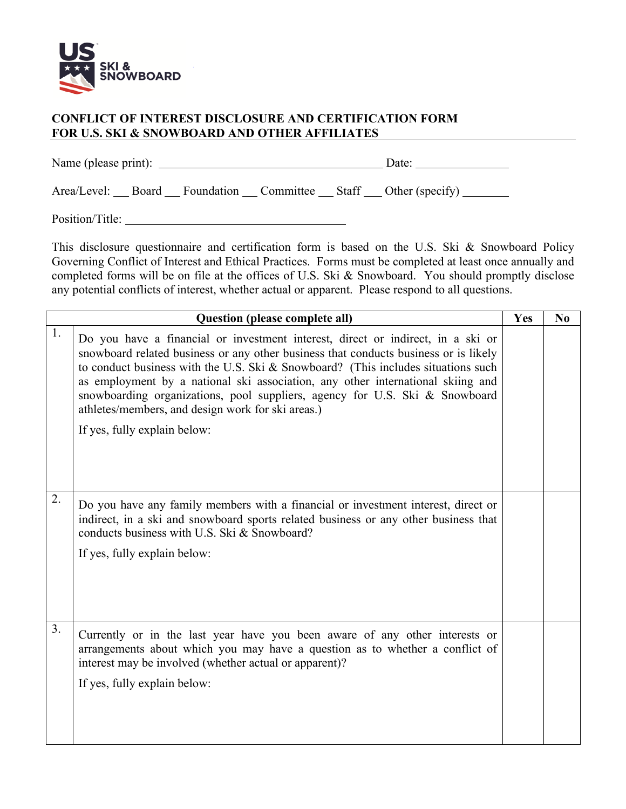

## **CONFLICT OF INTEREST DISCLOSURE AND CERTIFICATION FORM FOR U.S. SKI & SNOWBOARD AND OTHER AFFILIATES**

Name (please print): Date:

Area/Level: Board Foundation Committee Staff Other (specify)

Position/Title:

This disclosure questionnaire and certification form is based on the U.S. Ski & Snowboard Policy Governing Conflict of Interest and Ethical Practices. Forms must be completed at least once annually and completed forms will be on file at the offices of U.S. Ski & Snowboard. You should promptly disclose any potential conflicts of interest, whether actual or apparent. Please respond to all questions.

| <b>Question (please complete all)</b> |                                                                                                                                                                                                                                                                                                                                                                                                                                                                                                                     | Yes | $\bf No$ |
|---------------------------------------|---------------------------------------------------------------------------------------------------------------------------------------------------------------------------------------------------------------------------------------------------------------------------------------------------------------------------------------------------------------------------------------------------------------------------------------------------------------------------------------------------------------------|-----|----------|
| 1.                                    | Do you have a financial or investment interest, direct or indirect, in a ski or<br>snowboard related business or any other business that conducts business or is likely<br>to conduct business with the U.S. Ski & Snowboard? (This includes situations such<br>as employment by a national ski association, any other international skiing and<br>snowboarding organizations, pool suppliers, agency for U.S. Ski & Snowboard<br>athletes/members, and design work for ski areas.)<br>If yes, fully explain below: |     |          |
| 2.                                    | Do you have any family members with a financial or investment interest, direct or<br>indirect, in a ski and snowboard sports related business or any other business that<br>conducts business with U.S. Ski & Snowboard?<br>If yes, fully explain below:                                                                                                                                                                                                                                                            |     |          |
| 3.                                    | Currently or in the last year have you been aware of any other interests or<br>arrangements about which you may have a question as to whether a conflict of<br>interest may be involved (whether actual or apparent)?<br>If yes, fully explain below:                                                                                                                                                                                                                                                               |     |          |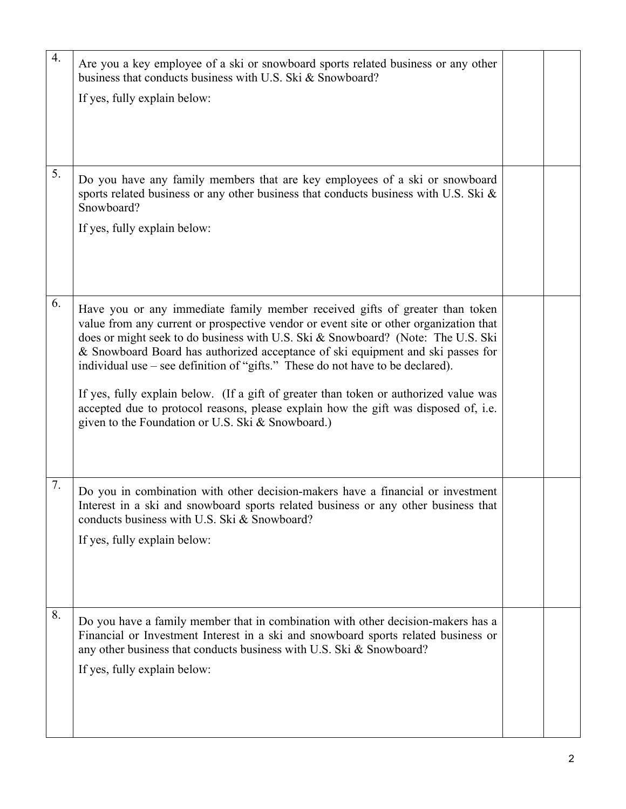| $\overline{4}$ . | Are you a key employee of a ski or snowboard sports related business or any other<br>business that conducts business with U.S. Ski & Snowboard?<br>If yes, fully explain below:                                                                                                                                                                                                                                                                                                                                                                                                                                                                                     |  |
|------------------|---------------------------------------------------------------------------------------------------------------------------------------------------------------------------------------------------------------------------------------------------------------------------------------------------------------------------------------------------------------------------------------------------------------------------------------------------------------------------------------------------------------------------------------------------------------------------------------------------------------------------------------------------------------------|--|
| 5.               | Do you have any family members that are key employees of a ski or snowboard<br>sports related business or any other business that conducts business with U.S. Ski &<br>Snowboard?<br>If yes, fully explain below:                                                                                                                                                                                                                                                                                                                                                                                                                                                   |  |
| 6.               | Have you or any immediate family member received gifts of greater than token<br>value from any current or prospective vendor or event site or other organization that<br>does or might seek to do business with U.S. Ski & Snowboard? (Note: The U.S. Ski<br>& Snowboard Board has authorized acceptance of ski equipment and ski passes for<br>individual use – see definition of "gifts." These do not have to be declared).<br>If yes, fully explain below. (If a gift of greater than token or authorized value was<br>accepted due to protocol reasons, please explain how the gift was disposed of, i.e.<br>given to the Foundation or U.S. Ski & Snowboard.) |  |
| 7.               | Do you in combination with other decision-makers have a financial or investment<br>Interest in a ski and snowboard sports related business or any other business that<br>conducts business with U.S. Ski & Snowboard?<br>If yes, fully explain below:                                                                                                                                                                                                                                                                                                                                                                                                               |  |
| 8.               | Do you have a family member that in combination with other decision-makers has a<br>Financial or Investment Interest in a ski and snowboard sports related business or<br>any other business that conducts business with U.S. Ski & Snowboard?<br>If yes, fully explain below:                                                                                                                                                                                                                                                                                                                                                                                      |  |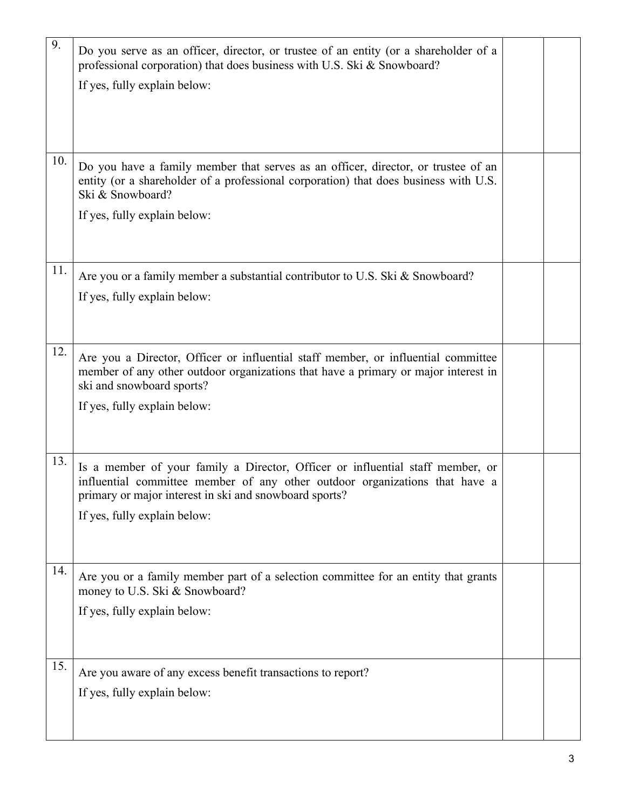| 9.  | Do you serve as an officer, director, or trustee of an entity (or a shareholder of a<br>professional corporation) that does business with U.S. Ski & Snowboard?<br>If yes, fully explain below:                                                         |  |
|-----|---------------------------------------------------------------------------------------------------------------------------------------------------------------------------------------------------------------------------------------------------------|--|
| 10. | Do you have a family member that serves as an officer, director, or trustee of an<br>entity (or a shareholder of a professional corporation) that does business with U.S.<br>Ski & Snowboard?<br>If yes, fully explain below:                           |  |
| 11. | Are you or a family member a substantial contributor to U.S. Ski & Snowboard?<br>If yes, fully explain below:                                                                                                                                           |  |
| 12. | Are you a Director, Officer or influential staff member, or influential committee<br>member of any other outdoor organizations that have a primary or major interest in<br>ski and snowboard sports?<br>If yes, fully explain below:                    |  |
| 13. | Is a member of your family a Director, Officer or influential staff member, or<br>influential committee member of any other outdoor organizations that have a<br>primary or major interest in ski and snowboard sports?<br>If yes, fully explain below: |  |
| 14. | Are you or a family member part of a selection committee for an entity that grants<br>money to U.S. Ski & Snowboard?<br>If yes, fully explain below:                                                                                                    |  |
| 15. | Are you aware of any excess benefit transactions to report?<br>If yes, fully explain below:                                                                                                                                                             |  |